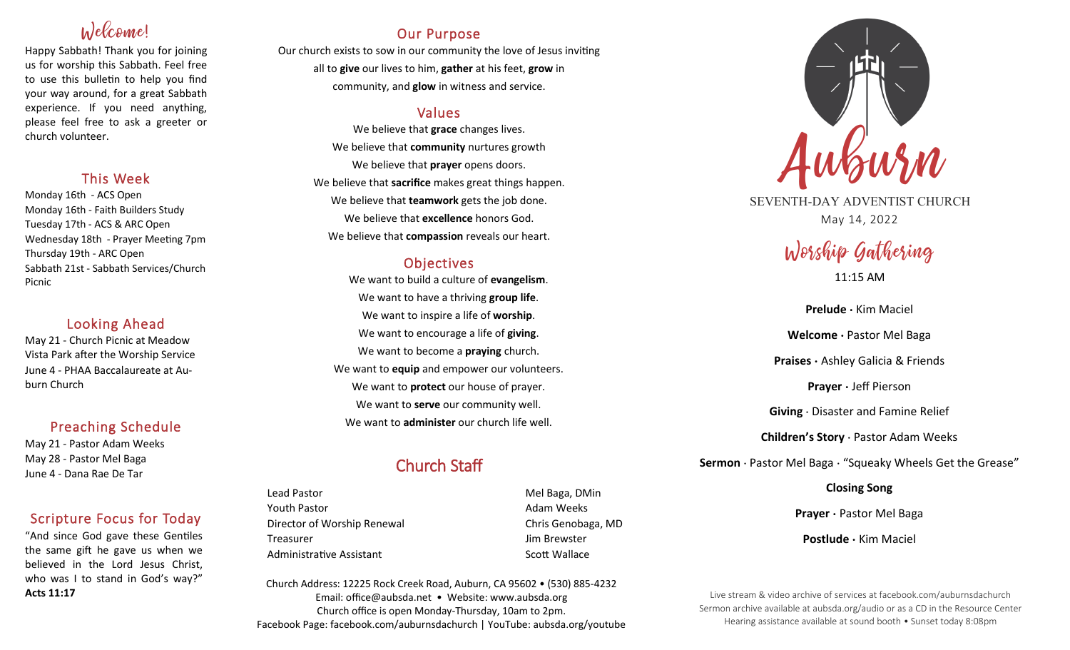# Welcome!

Happy Sabbath! Thank you for joining us for worship this Sabbath. Feel free to use this bulletin to help you find your way around, for a great Sabbath experience. If you need anything, please feel free to ask a greeter or church volunteer.

## This Week

Monday 16th - ACS Open Monday 16th - Faith Builders Study Tuesday 17th - ACS & ARC Open Wednesday 18th - Prayer Meeting 7pm Thursday 19th - ARC Open Sabbath 21st - Sabbath Services/Church Picnic

### Looking Ahead

May 21 - Church Picnic at Meadow Vista Park after the Worship Service June 4 - PHAA Baccalaureate at Auburn Church

## Preaching Schedule

May 21 - Pastor Adam Weeks May 28 - Pastor Mel Baga June 4 - Dana Rae De Tar

## Scripture Focus for Today

"And since God gave these Gentiles the same gift he gave us when we believed in the Lord Jesus Christ, who was I to stand in God's way?" **Acts 11:17**

## Our Purpose

Our church exists to sow in our community the love of Jesus inviting all to **give** our lives to him, **gather** at his feet, **grow** in community, and **glow** in witness and service.

## Values

We believe that **grace** changes lives. We believe that **community** nurtures growth We believe that **prayer** opens doors. We believe that **sacrifice** makes great things happen. We believe that **teamwork** gets the job done. We believe that **excellence** honors God. We believe that **compassion** reveals our heart.

## **Objectives**

We want to build a culture of **evangelism**. We want to have a thriving **group life**. We want to inspire a life of **worship**. We want to encourage a life of **giving**. We want to become a **praying** church. We want to **equip** and empower our volunteers. We want to **protect** our house of prayer. We want to **serve** our community well. We want to **administer** our church life well.

## Church Staff

Lead Pastor **Mel Baga, DMin** Youth Pastor **Adam Weeks Adam Weeks** Director of Worship Renewal **Chris Genobaga**, MD Treasurer Jim Brewster Administrative Assistant National Controllery Scott Wallace

Church Address: 12225 Rock Creek Road, Auburn, CA 95602 • (530) 885-4232 Email: office@aubsda.net • Website: www.aubsda.org Church office is open Monday-Thursday, 10am to 2pm. Facebook Page: facebook.com/auburnsdachurch | YouTube: aubsda.org/youtube



SEVENTH-DAY ADVENTIST CHURCH May 14, 2022

# Worship Gathering 11:15 AM

**Prelude ·** Kim Maciel **Welcome ·** Pastor Mel Baga **Praises ·** Ashley Galicia & Friends **Prayer ·** Jeff Pierson **Giving** · Disaster and Famine Relief **Children's Story** · Pastor Adam Weeks **Sermon** · Pastor Mel Baga · "Squeaky Wheels Get the Grease" **Closing Song**

**Prayer ·** Pastor Mel Baga

**Postlude ·** Kim Maciel

Live stream & video archive of services at facebook.com/auburnsdachurch Sermon archive available at aubsda.org/audio or as a CD in the Resource Center Hearing assistance available at sound booth • Sunset today 8:08pm